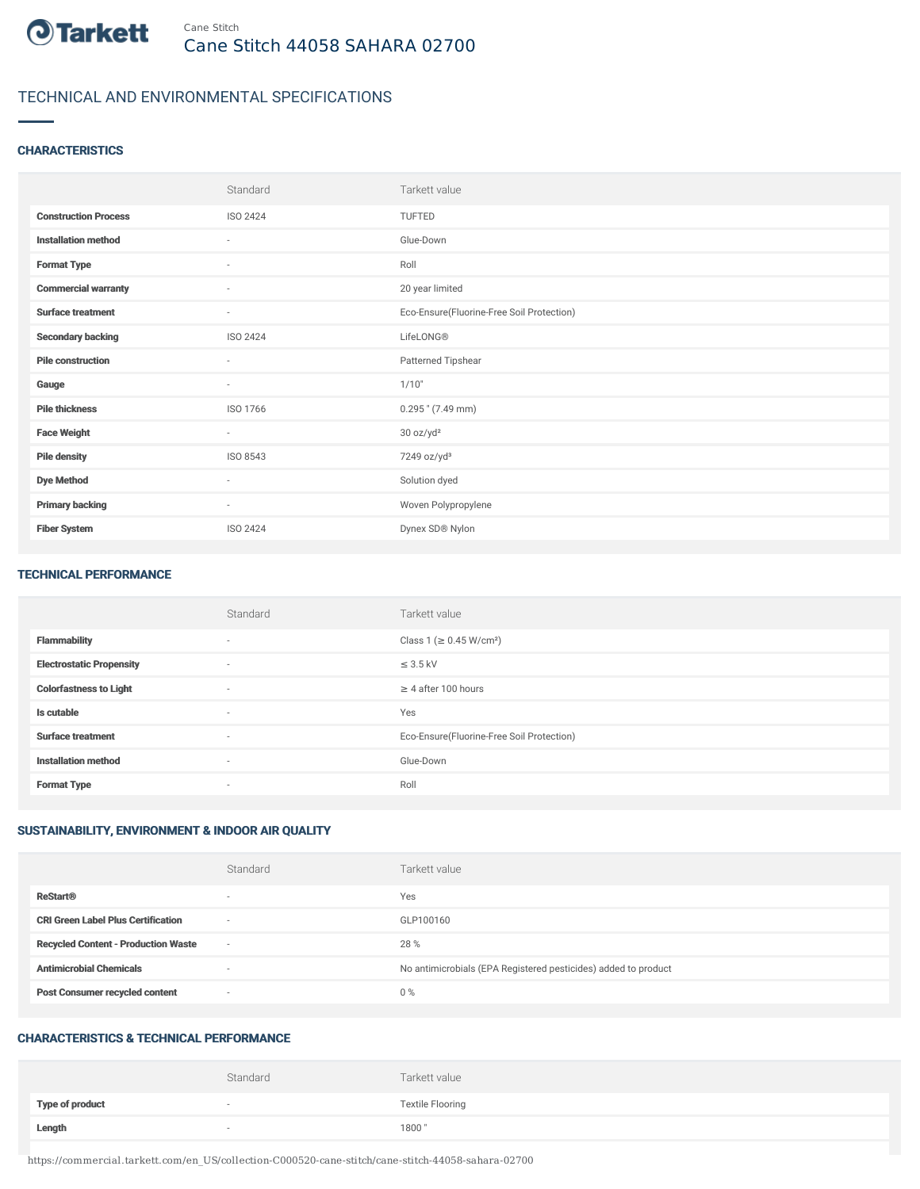

# TECHNICAL AND ENVIRONMENTAL SPECIFICATIONS

## **CHARACTERISTICS**

|                             | Standard                 | Tarkett value                             |
|-----------------------------|--------------------------|-------------------------------------------|
| <b>Construction Process</b> | ISO 2424                 | TUFTED                                    |
| <b>Installation method</b>  | $\sim$                   | Glue-Down                                 |
| <b>Format Type</b>          | $\sim$                   | Roll                                      |
| <b>Commercial warranty</b>  | $\sim$                   | 20 year limited                           |
| <b>Surface treatment</b>    | $\sim$                   | Eco-Ensure(Fluorine-Free Soil Protection) |
| <b>Secondary backing</b>    | ISO 2424                 | LifeLONG <sup>®</sup>                     |
| <b>Pile construction</b>    | $\sim$                   | Patterned Tipshear                        |
| Gauge                       | $\overline{\phantom{a}}$ | 1/10"                                     |
| <b>Pile thickness</b>       | ISO 1766                 | $0.295$ " (7.49 mm)                       |
| <b>Face Weight</b>          | $\sim$                   | 30 oz/yd <sup>2</sup>                     |
| <b>Pile density</b>         | ISO 8543                 | 7249 oz/yd <sup>3</sup>                   |
| <b>Dye Method</b>           | $\sim$                   | Solution dyed                             |
| <b>Primary backing</b>      | $\sim$                   | Woven Polypropylene                       |
| <b>Fiber System</b>         | <b>ISO 2424</b>          | Dynex SD® Nylon                           |

#### TECHNICAL PERFORMANCE

|                                 | Standard                 | Tarkett value                             |
|---------------------------------|--------------------------|-------------------------------------------|
| <b>Flammability</b>             | $\overline{\phantom{a}}$ | Class 1 (≥ 0.45 W/cm <sup>2</sup> )       |
| <b>Electrostatic Propensity</b> | $\sim$                   | $\leq$ 3.5 kV                             |
| <b>Colorfastness to Light</b>   | $\sim$                   | $\geq$ 4 after 100 hours                  |
| Is cutable                      | $\sim$                   | Yes                                       |
| <b>Surface treatment</b>        | $\sim$                   | Eco-Ensure(Fluorine-Free Soil Protection) |
| <b>Installation method</b>      | $\overline{\phantom{a}}$ | Glue-Down                                 |
| <b>Format Type</b>              | $\overline{\phantom{a}}$ | Roll                                      |

# SUSTAINABILITY, ENVIRONMENT & INDOOR AIR QUALITY

|                                            | Standard                 | Tarkett value                                                  |
|--------------------------------------------|--------------------------|----------------------------------------------------------------|
| <b>ReStart®</b>                            | $\overline{\phantom{a}}$ | Yes                                                            |
| <b>CRI Green Label Plus Certification</b>  | $\overline{\phantom{a}}$ | GLP100160                                                      |
| <b>Recycled Content - Production Waste</b> | $\overline{\phantom{a}}$ | 28 %                                                           |
| <b>Antimicrobial Chemicals</b>             | <b>1999</b>              | No antimicrobials (EPA Registered pesticides) added to product |
| <b>Post Consumer recycled content</b>      | $\overline{\phantom{a}}$ | $0\%$                                                          |

#### CHARACTERISTICS & TECHNICAL PERFORMANCE

|                        | Standard                 | Tarkett value           |
|------------------------|--------------------------|-------------------------|
| <b>Type of product</b> | $\overline{\phantom{a}}$ | <b>Textile Flooring</b> |
| Length                 |                          | 1800"                   |

https://commercial.tarkett.com/en\_US/collection-C000520-cane-stitch/cane-stitch-44058-sahara-02700